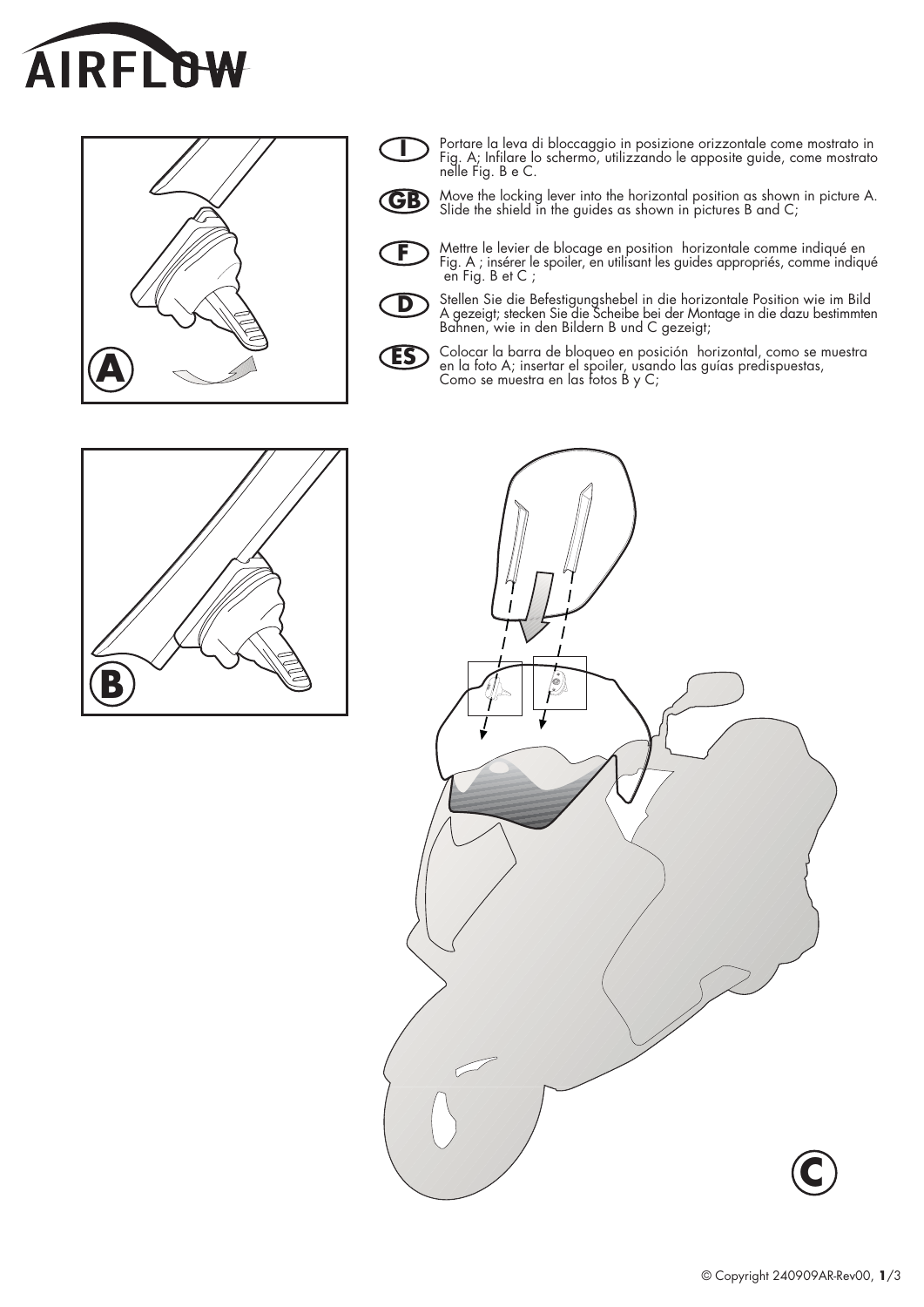





Portare la leva di bloccaggio in posizione orizzontale come mostrato in<br>Fig. A; Infilare lo schermo, utilizzando le apposite guide, come mostrato<br>nelle Fig. B e C.



Move the locking lever into the horizontal position as shown in picture A. Slide the shield in the guides as shown in pictures B and C;



Mettre le levier de blocage en position horizontale comme indiqué en Fig. A ; insérer le spoiler, en utilisant les guides appropriés, comme indiqué en Fig. B et C ;



Stellen Sie die Befestigungshebel in die horizontale Position wie im Bild<br>A gezeigt; stecken Sie die Scheibe bei der Montage in die dazu bestimmten<br>Bahnen, wie in den Bildern B und C gezeigt;



Colocar la barra de bloqueo en posición horizontal, como se muestra en la foto A; insertar el spoiler, usando las guías predispuestas, Como se muestra en las fotos B y C;



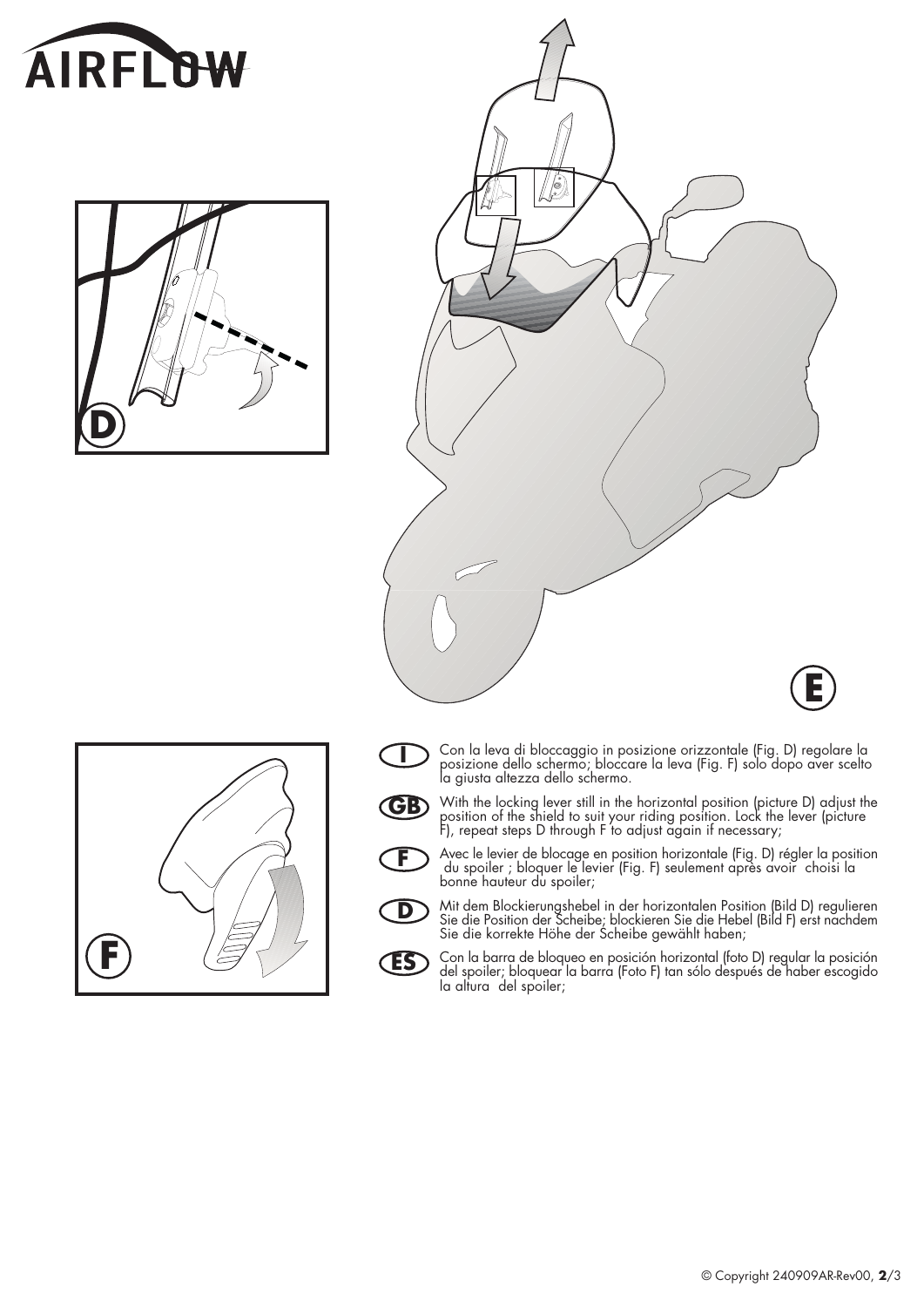







 $\mathbf D$ 

**ES** 

- Con la leva di bloccaggio in posizione orizzontale (Fig. D) regolare la posizione dello schermo; bloccare la leva (Fig. F) solo dopo aver scelto la giusta altezza dello schermo. I
- With the locking lever still in the horizontal position (picture D) adjust the position of the shield to suit your riding position. Lock the lever (picture F), repeat steps D through F to adjust again if necessary; **GB** 
	- Avec le levier de blocage en position horizontale (Fig. D) régler la position du spoiler ; bloquer le levier (Fig. F) seulement après avoir choisi la bonne hauteur du spoiler; F
		- Mit dem Blockierungshebel in der horizontalen Position (Bild D) regulieren<br>Sie die Position der Scheibe; blockieren Sie die Hebel (Bild F) erst nachdem<br>Sie die korrekte Höhe der Scheibe gewählt haben;
		- Con la barra de bloqueo en posición horizontal (foto D) regular la posición<br>del spoiler; bloquear la barra (Foto F) tan sólo después de haber escogido<br>la altura del spoiler;